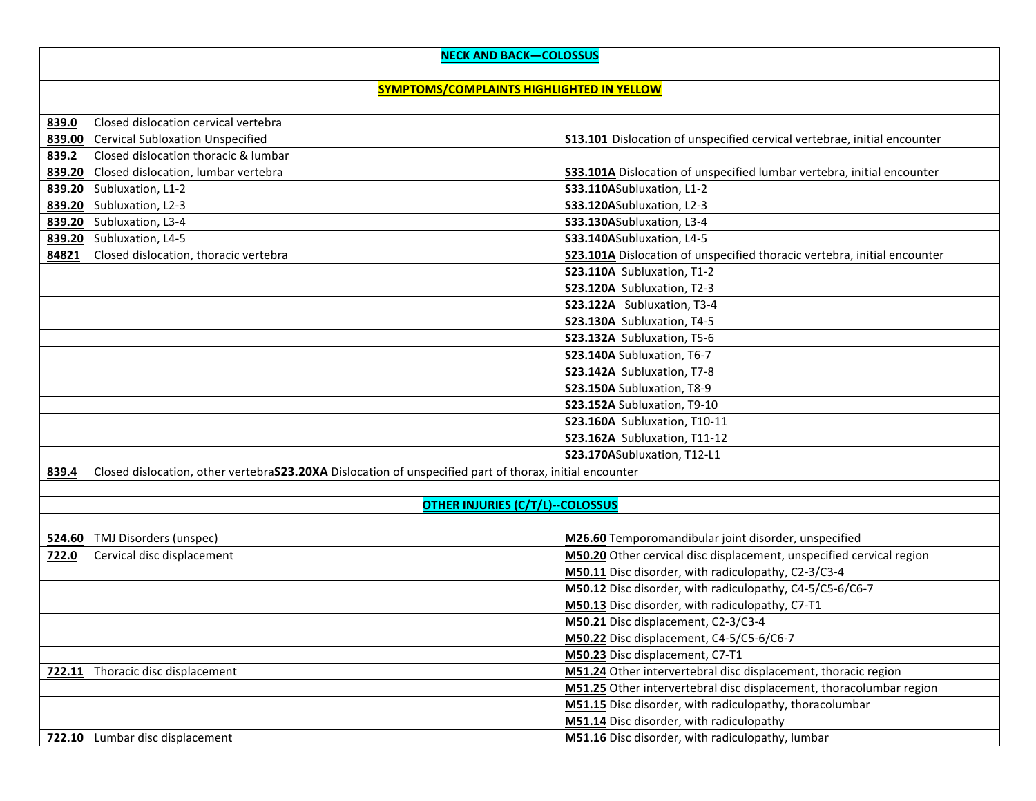## **NECK AND BACK—COLOSSUS**

## **SYMPTOMS/COMPLAINTS HIGHLIGHTED IN YELLOW**

| 839.0 | Closed dislocation cervical vertebra                                                                     |                                                                               |
|-------|----------------------------------------------------------------------------------------------------------|-------------------------------------------------------------------------------|
|       | 839.00 Cervical Subloxation Unspecified                                                                  | \$13.101 Dislocation of unspecified cervical vertebrae, initial encounter     |
| 839.2 | Closed dislocation thoracic & lumbar                                                                     |                                                                               |
|       | 839.20 Closed dislocation, lumbar vertebra                                                               | <b>S33.101A</b> Dislocation of unspecified lumbar vertebra, initial encounter |
|       | 839.20 Subluxation, L1-2                                                                                 | S33.110ASubluxation, L1-2                                                     |
|       | 839.20 Subluxation, L2-3                                                                                 | S33.120ASubluxation, L2-3                                                     |
|       | 839.20 Subluxation, L3-4                                                                                 | S33.130ASubluxation, L3-4                                                     |
|       | 839.20 Subluxation, L4-5                                                                                 | S33.140ASubluxation, L4-5                                                     |
| 84821 | Closed dislocation, thoracic vertebra                                                                    | S23.101A Dislocation of unspecified thoracic vertebra, initial encounter      |
|       |                                                                                                          | S23.110A Subluxation, T1-2                                                    |
|       |                                                                                                          | S23.120A Subluxation, T2-3                                                    |
|       |                                                                                                          | S23.122A Subluxation, T3-4                                                    |
|       |                                                                                                          | S23.130A Subluxation, T4-5                                                    |
|       |                                                                                                          | S23.132A Subluxation, T5-6                                                    |
|       |                                                                                                          | S23.140A Subluxation, T6-7                                                    |
|       |                                                                                                          | S23.142A Subluxation, T7-8                                                    |
|       |                                                                                                          | S23.150A Subluxation, T8-9                                                    |
|       |                                                                                                          | S23.152A Subluxation, T9-10                                                   |
|       |                                                                                                          | <b>S23.160A</b> Subluxation, T10-11                                           |
|       |                                                                                                          | <b>S23.162A</b> Subluxation, T11-12                                           |
|       |                                                                                                          | S23.170ASubluxation, T12-L1                                                   |
| 839.4 | Closed dislocation, other vertebra S23.20XA Dislocation of unspecified part of thorax, initial encounter |                                                                               |
|       |                                                                                                          |                                                                               |
|       | <b>OTHER INJURIES (C/T/L)--COLOSSUS</b>                                                                  |                                                                               |
|       |                                                                                                          |                                                                               |
|       | 524.60 TMJ Disorders (unspec)                                                                            | M26.60 Temporomandibular joint disorder, unspecified                          |
| 722.0 | Cervical disc displacement                                                                               | M50.20 Other cervical disc displacement, unspecified cervical region          |
|       |                                                                                                          | M50.11 Disc disorder, with radiculopathy, C2-3/C3-4                           |
|       |                                                                                                          | M50.12 Disc disorder, with radiculopathy, C4-5/C5-6/C6-7                      |
|       |                                                                                                          | M50.13 Disc disorder, with radiculopathy, C7-T1                               |
|       |                                                                                                          | M50.21 Disc displacement, C2-3/C3-4                                           |
|       |                                                                                                          | M50.22 Disc displacement, C4-5/C5-6/C6-7                                      |
|       |                                                                                                          | M50.23 Disc displacement, C7-T1                                               |
|       | 722.11 Thoracic disc displacement                                                                        | M51.24 Other intervertebral disc displacement, thoracic region                |
|       |                                                                                                          | M51.25 Other intervertebral disc displacement, thoracolumbar region           |
|       |                                                                                                          | M51.15 Disc disorder, with radiculopathy, thoracolumbar                       |
|       |                                                                                                          | M51.14 Disc disorder, with radiculopathy                                      |
|       | <b>722.10</b> Lumbar disc displacement                                                                   | M51.16 Disc disorder, with radiculopathy, lumbar                              |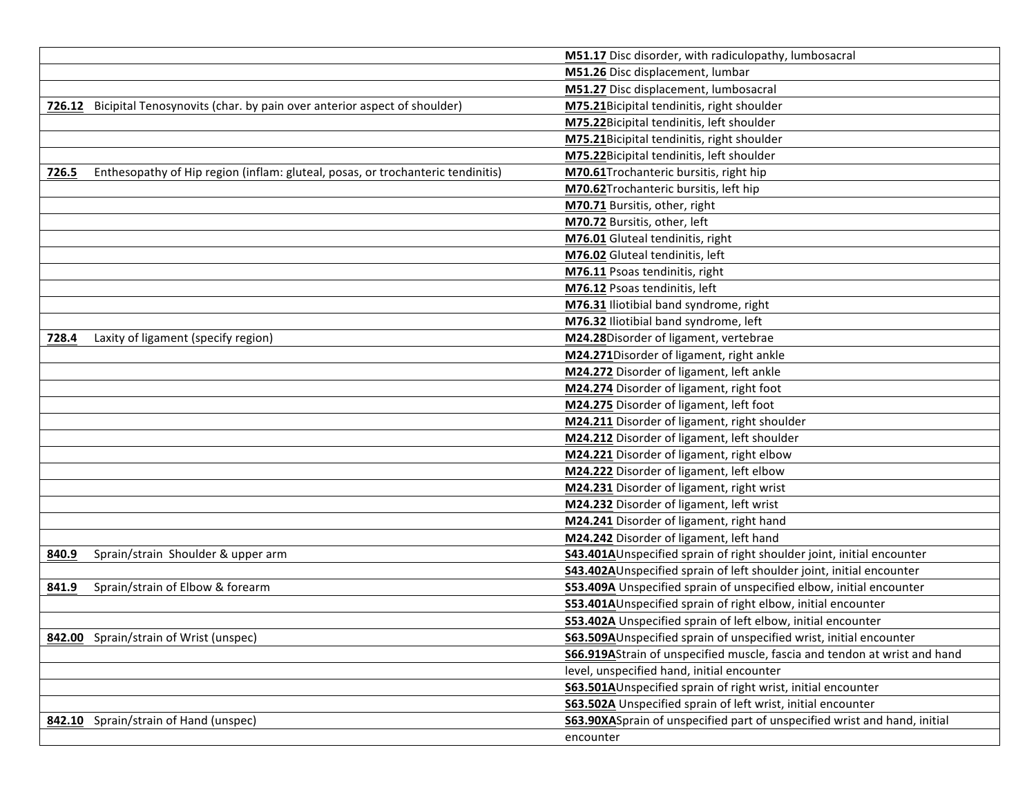|                                                                                          | M51.17 Disc disorder, with radiculopathy, lumbosacral                         |
|------------------------------------------------------------------------------------------|-------------------------------------------------------------------------------|
|                                                                                          | M51.26 Disc displacement, lumbar                                              |
|                                                                                          | M51.27 Disc displacement, lumbosacral                                         |
| 726.12 Bicipital Tenosynovits (char. by pain over anterior aspect of shoulder)           | M75.21Bicipital tendinitis, right shoulder                                    |
|                                                                                          | M75.22Bicipital tendinitis, left shoulder                                     |
|                                                                                          | M75.21Bicipital tendinitis, right shoulder                                    |
|                                                                                          | M75.22Bicipital tendinitis, left shoulder                                     |
| Enthesopathy of Hip region (inflam: gluteal, posas, or trochanteric tendinitis)<br>726.5 | M70.61 Trochanteric bursitis, right hip                                       |
|                                                                                          | M70.62Trochanteric bursitis, left hip                                         |
|                                                                                          | M70.71 Bursitis, other, right                                                 |
|                                                                                          | M70.72 Bursitis, other, left                                                  |
|                                                                                          | M76.01 Gluteal tendinitis, right                                              |
|                                                                                          | M76.02 Gluteal tendinitis, left                                               |
|                                                                                          | M76.11 Psoas tendinitis, right                                                |
|                                                                                          | M76.12 Psoas tendinitis, left                                                 |
|                                                                                          | M76.31 Iliotibial band syndrome, right                                        |
|                                                                                          | M76.32 Iliotibial band syndrome, left                                         |
| Laxity of ligament (specify region)<br>728.4                                             | M24.28Disorder of ligament, vertebrae                                         |
|                                                                                          | M24.271Disorder of ligament, right ankle                                      |
|                                                                                          | M24.272 Disorder of ligament, left ankle                                      |
|                                                                                          | M24.274 Disorder of ligament, right foot                                      |
|                                                                                          | M24.275 Disorder of ligament, left foot                                       |
|                                                                                          | M24.211 Disorder of ligament, right shoulder                                  |
|                                                                                          | M24.212 Disorder of ligament, left shoulder                                   |
|                                                                                          | M24.221 Disorder of ligament, right elbow                                     |
|                                                                                          | M24.222 Disorder of ligament, left elbow                                      |
|                                                                                          | M24.231 Disorder of ligament, right wrist                                     |
|                                                                                          | M24.232 Disorder of ligament, left wrist                                      |
|                                                                                          | M24.241 Disorder of ligament, right hand                                      |
|                                                                                          | M24.242 Disorder of ligament, left hand                                       |
| Sprain/strain Shoulder & upper arm<br>840.9                                              | <b>S43.401A</b> Unspecified sprain of right shoulder joint, initial encounter |
|                                                                                          | S43.402AUnspecified sprain of left shoulder joint, initial encounter          |
| Sprain/strain of Elbow & forearm<br>841.9                                                | S53.409A Unspecified sprain of unspecified elbow, initial encounter           |
|                                                                                          | S53.401AUnspecified sprain of right elbow, initial encounter                  |
|                                                                                          | S53.402A Unspecified sprain of left elbow, initial encounter                  |
| 842.00 Sprain/strain of Wrist (unspec)                                                   | <b>S63.509A</b> Unspecified sprain of unspecified wrist, initial encounter    |
|                                                                                          | S66.919AStrain of unspecified muscle, fascia and tendon at wrist and hand     |
|                                                                                          | level, unspecified hand, initial encounter                                    |
|                                                                                          | S63.501AUnspecified sprain of right wrist, initial encounter                  |
|                                                                                          | S63.502A Unspecified sprain of left wrist, initial encounter                  |
| 842.10 Sprain/strain of Hand (unspec)                                                    | S63.90XASprain of unspecified part of unspecified wrist and hand, initial     |
|                                                                                          | encounter                                                                     |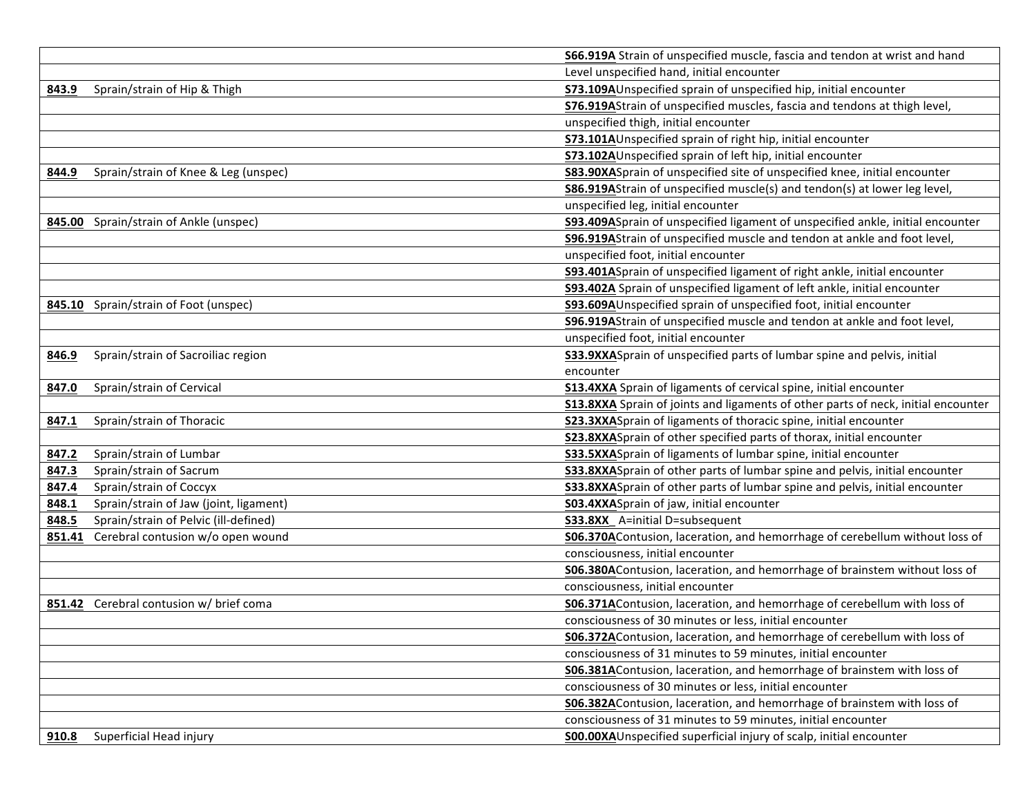|                                                 | S66.919A Strain of unspecified muscle, fascia and tendon at wrist and hand               |
|-------------------------------------------------|------------------------------------------------------------------------------------------|
|                                                 | Level unspecified hand, initial encounter                                                |
| Sprain/strain of Hip & Thigh<br>843.9           | S73.109AUnspecified sprain of unspecified hip, initial encounter                         |
|                                                 | S76.919AStrain of unspecified muscles, fascia and tendons at thigh level,                |
|                                                 | unspecified thigh, initial encounter                                                     |
|                                                 | S73.101AUnspecified sprain of right hip, initial encounter                               |
|                                                 | S73.102AUnspecified sprain of left hip, initial encounter                                |
| Sprain/strain of Knee & Leg (unspec)<br>844.9   | <b>S83.90XASprain of unspecified site of unspecified knee, initial encounter</b>         |
|                                                 | S86.919AStrain of unspecified muscle(s) and tendon(s) at lower leg level,                |
|                                                 | unspecified leg, initial encounter                                                       |
| 845.00 Sprain/strain of Ankle (unspec)          | S93.409ASprain of unspecified ligament of unspecified ankle, initial encounter           |
|                                                 | S96.919AStrain of unspecified muscle and tendon at ankle and foot level,                 |
|                                                 | unspecified foot, initial encounter                                                      |
|                                                 | <b>S93.401A</b> Sprain of unspecified ligament of right ankle, initial encounter         |
|                                                 | S93.402A Sprain of unspecified ligament of left ankle, initial encounter                 |
| 845.10 Sprain/strain of Foot (unspec)           | S93.609AUnspecified sprain of unspecified foot, initial encounter                        |
|                                                 | S96.919AStrain of unspecified muscle and tendon at ankle and foot level,                 |
|                                                 | unspecified foot, initial encounter                                                      |
| Sprain/strain of Sacroiliac region<br>846.9     | S33.9XXASprain of unspecified parts of lumbar spine and pelvis, initial                  |
|                                                 | encounter                                                                                |
| Sprain/strain of Cervical<br>847.0              | <b>S13.4XXA</b> Sprain of ligaments of cervical spine, initial encounter                 |
|                                                 | <b>S13.8XXA</b> Sprain of joints and ligaments of other parts of neck, initial encounter |
| Sprain/strain of Thoracic<br>847.1              | <b>S23.3XXA</b> Sprain of ligaments of thoracic spine, initial encounter                 |
|                                                 | S23.8XXASprain of other specified parts of thorax, initial encounter                     |
| Sprain/strain of Lumbar<br>847.2                | S33.5XXASprain of ligaments of lumbar spine, initial encounter                           |
| Sprain/strain of Sacrum<br>847.3                | S33.8XXASprain of other parts of lumbar spine and pelvis, initial encounter              |
| Sprain/strain of Coccyx<br>847.4                | S33.8XXASprain of other parts of lumbar spine and pelvis, initial encounter              |
| Sprain/strain of Jaw (joint, ligament)<br>848.1 | S03.4XXASprain of jaw, initial encounter                                                 |
| 848.5<br>Sprain/strain of Pelvic (ill-defined)  | <b>S33.8XX</b> A=initial D=subsequent                                                    |
| 851.41 Cerebral contusion w/o open wound        | SO6.370AContusion, laceration, and hemorrhage of cerebellum without loss of              |
|                                                 | consciousness, initial encounter                                                         |
|                                                 | S06.380AContusion, laceration, and hemorrhage of brainstem without loss of               |
|                                                 | consciousness, initial encounter                                                         |
| 851.42 Cerebral contusion w/ brief coma         | <b>S06.371A</b> Contusion, laceration, and hemorrhage of cerebellum with loss of         |
|                                                 | consciousness of 30 minutes or less, initial encounter                                   |
|                                                 | S06.372AContusion, laceration, and hemorrhage of cerebellum with loss of                 |
|                                                 | consciousness of 31 minutes to 59 minutes, initial encounter                             |
|                                                 | <b>S06.381A</b> Contusion, laceration, and hemorrhage of brainstem with loss of          |
|                                                 | consciousness of 30 minutes or less, initial encounter                                   |
|                                                 | S06.382AContusion, laceration, and hemorrhage of brainstem with loss of                  |
|                                                 | consciousness of 31 minutes to 59 minutes, initial encounter                             |
| Superficial Head injury<br>910.8                | S00.00XAUnspecified superficial injury of scalp, initial encounter                       |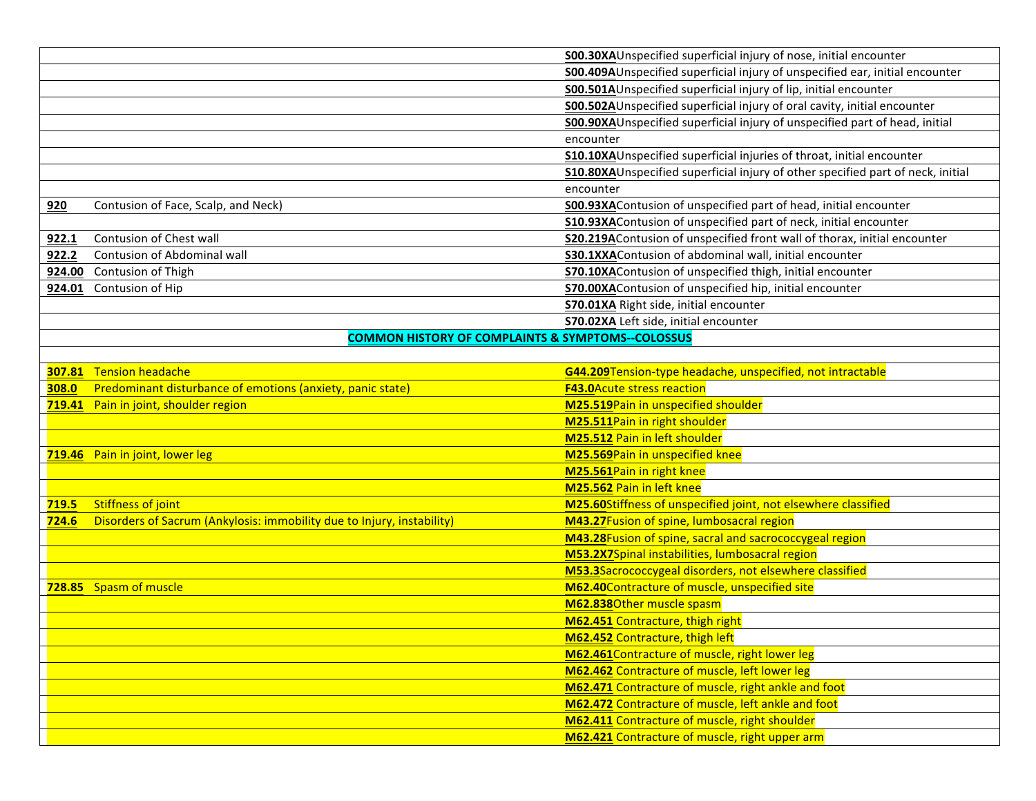|       |                                                                        | S00.30XAUnspecified superficial injury of nose, initial encounter                |
|-------|------------------------------------------------------------------------|----------------------------------------------------------------------------------|
|       |                                                                        | S00.409AUnspecified superficial injury of unspecified ear, initial encounter     |
|       |                                                                        | S00.501AUnspecified superficial injury of lip, initial encounter                 |
|       |                                                                        | S00.502AUnspecified superficial injury of oral cavity, initial encounter         |
|       |                                                                        | S00.90XAUnspecified superficial injury of unspecified part of head, initial      |
|       |                                                                        | encounter                                                                        |
|       |                                                                        | S10.10XAUnspecified superficial injuries of throat, initial encounter            |
|       |                                                                        | S10.80XAUnspecified superficial injury of other specified part of neck, initial  |
|       |                                                                        | encounter                                                                        |
| 920   | Contusion of Face, Scalp, and Neck)                                    | S00.93XAContusion of unspecified part of head, initial encounter                 |
|       |                                                                        | S10.93XAContusion of unspecified part of neck, initial encounter                 |
| 922.1 | Contusion of Chest wall                                                | <b>S20.219A</b> Contusion of unspecified front wall of thorax, initial encounter |
| 922.2 | Contusion of Abdominal wall                                            | S30.1XXAContusion of abdominal wall, initial encounter                           |
|       | 924.00 Contusion of Thigh                                              | <b>S70.10XAContusion of unspecified thigh, initial encounter</b>                 |
|       | 924.01 Contusion of Hip                                                | S70.00XAContusion of unspecified hip, initial encounter                          |
|       |                                                                        | S70.01XA Right side, initial encounter                                           |
|       |                                                                        | S70.02XA Left side, initial encounter                                            |
|       | <b>COMMON HISTORY OF COMPLAINTS &amp; SYMPTOMS--COLOSSUS</b>           |                                                                                  |
|       |                                                                        |                                                                                  |
|       | 307.81 Tension headache                                                | G44.209Tension-type headache, unspecified, not intractable                       |
| 308.0 | Predominant disturbance of emotions (anxiety, panic state)             | <b>F43.0Acute stress reaction</b>                                                |
|       | 719.41 Pain in joint, shoulder region                                  | M25.519Pain in unspecified shoulder                                              |
|       |                                                                        | M25.511Pain in right shoulder                                                    |
|       |                                                                        | M25.512 Pain in left shoulder                                                    |
|       | 719.46 Pain in joint, lower leg                                        | M25.569Pain in unspecified knee                                                  |
|       |                                                                        | M25.561Pain in right knee                                                        |
|       |                                                                        | M25.562 Pain in left knee                                                        |
| 719.5 | <b>Stiffness of joint</b>                                              | M25.60Stiffness of unspecified joint, not elsewhere classified                   |
| 724.6 | Disorders of Sacrum (Ankylosis: immobility due to Injury, instability) | M43.27Fusion of spine, lumbosacral region                                        |
|       |                                                                        | M43.28Fusion of spine, sacral and sacrococcygeal region                          |
|       |                                                                        | M53.2X7Spinal instabilities, lumbosacral region                                  |
|       |                                                                        | M53.3Sacrococcygeal disorders, not elsewhere classified                          |
|       | 728.85 Spasm of muscle                                                 | M62.40Contracture of muscle, unspecified site                                    |
|       |                                                                        | M62.838Other muscle spasm                                                        |
|       |                                                                        | M62.451 Contracture, thigh right                                                 |
|       |                                                                        | M62.452 Contracture, thigh left                                                  |
|       |                                                                        | M62.461Contracture of muscle, right lower leg                                    |
|       |                                                                        | M62.462 Contracture of muscle, left lower leg                                    |
|       |                                                                        | M62.471 Contracture of muscle, right ankle and foot                              |
|       |                                                                        | M62.472 Contracture of muscle, left ankle and foot                               |
|       |                                                                        | M62.411 Contracture of muscle, right shoulder                                    |
|       |                                                                        | M62.421 Contracture of muscle, right upper arm                                   |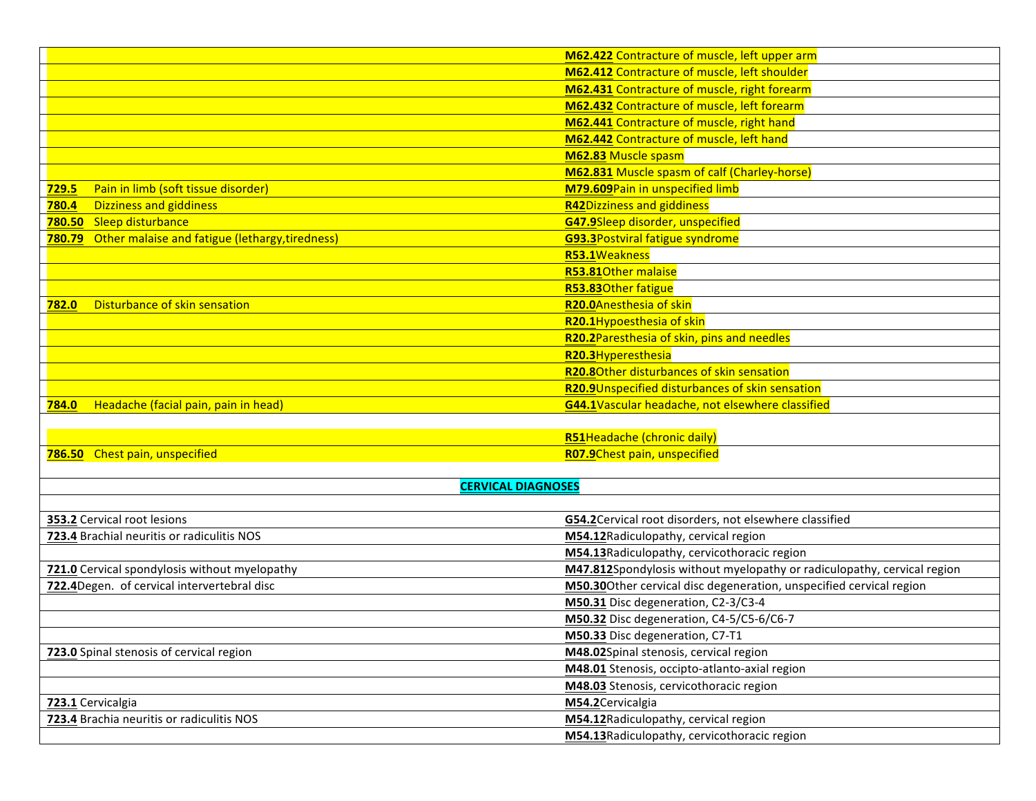|                                                        | M62.422 Contracture of muscle, left upper arm                           |
|--------------------------------------------------------|-------------------------------------------------------------------------|
|                                                        | M62.412 Contracture of muscle, left shoulder                            |
|                                                        | M62.431 Contracture of muscle, right forearm                            |
|                                                        | M62.432 Contracture of muscle, left forearm                             |
|                                                        | M62.441 Contracture of muscle, right hand                               |
|                                                        | M62.442 Contracture of muscle, left hand                                |
|                                                        | M62.83 Muscle spasm                                                     |
|                                                        | M62.831 Muscle spasm of calf (Charley-horse)                            |
| Pain in limb (soft tissue disorder)<br><b>729.5</b>    | M79.609Pain in unspecified limb                                         |
| <b>Dizziness and giddiness</b><br>780.4                | <b>R42Dizziness and giddiness</b>                                       |
| 780.50 Sleep disturbance                               | G47.9Sleep disorder, unspecified                                        |
| 780.79 Other malaise and fatigue (lethargy, tiredness) | <b>G93.3Postviral fatigue syndrome</b>                                  |
|                                                        | R53.1Weakness                                                           |
|                                                        | R53.81Other malaise                                                     |
|                                                        | R53.83Other fatigue                                                     |
| Disturbance of skin sensation<br>782.0                 | R20.0Anesthesia of skin                                                 |
|                                                        | R20.1Hypoesthesia of skin                                               |
|                                                        | R20.2Paresthesia of skin, pins and needles                              |
|                                                        | R20.3Hyperesthesia                                                      |
|                                                        | R20.80ther disturbances of skin sensation                               |
|                                                        | R20.9Unspecified disturbances of skin sensation                         |
| Headache (facial pain, pain in head)<br>784.0          | G44.1Vascular headache, not elsewhere classified                        |
|                                                        |                                                                         |
|                                                        | <b>R51Headache (chronic daily)</b>                                      |
| 786.50 Chest pain, unspecified                         | R07.9Chest pain, unspecified                                            |
|                                                        |                                                                         |
| <b>CERVICAL DIAGNOSES</b>                              |                                                                         |
|                                                        |                                                                         |
| 353.2 Cervical root lesions                            | G54.2Cervical root disorders, not elsewhere classified                  |
| 723.4 Brachial neuritis or radiculitis NOS             | M54.12Radiculopathy, cervical region                                    |
|                                                        | M54.13Radiculopathy, cervicothoracic region                             |
| 721.0 Cervical spondylosis without myelopathy          | M47.812Spondylosis without myelopathy or radiculopathy, cervical region |
| 722.4Degen. of cervical intervertebral disc            | M50.30Other cervical disc degeneration, unspecified cervical region     |
|                                                        | M50.31 Disc degeneration, C2-3/C3-4                                     |
|                                                        | M50.32 Disc degeneration, C4-5/C5-6/C6-7                                |
|                                                        | M50.33 Disc degeneration, C7-T1                                         |
| 723.0 Spinal stenosis of cervical region               | M48.02Spinal stenosis, cervical region                                  |
|                                                        | M48.01 Stenosis, occipto-atlanto-axial region                           |
|                                                        | M48.03 Stenosis, cervicothoracic region                                 |
| 723.1 Cervicalgia                                      | M54.2Cervicalgia                                                        |
| 723.4 Brachia neuritis or radiculitis NOS              | M54.12Radiculopathy, cervical region                                    |
|                                                        | M54.13 Radiculopathy, cervicothoracic region                            |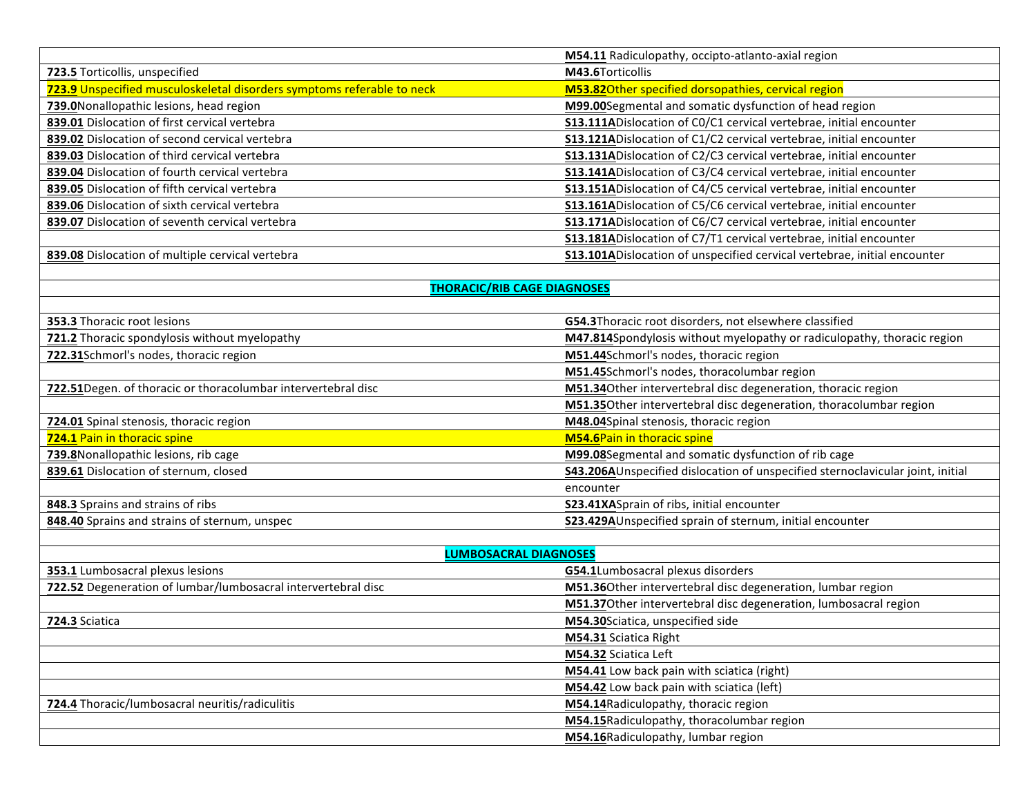| M54.11 Radiculopathy, occipto-atlanto-axial region                       |
|--------------------------------------------------------------------------|
| M43.6Torticollis                                                         |
| M53.82Other specified dorsopathies, cervical region                      |
| M99.00Segmental and somatic dysfunction of head region                   |
| S13.111ADislocation of CO/C1 cervical vertebrae, initial encounter       |
| S13.121ADislocation of C1/C2 cervical vertebrae, initial encounter       |
| S13.131ADislocation of C2/C3 cervical vertebrae, initial encounter       |
| \$13.141ADislocation of C3/C4 cervical vertebrae, initial encounter      |
| \$13.151ADislocation of C4/C5 cervical vertebrae, initial encounter      |
| \$13.161ADislocation of C5/C6 cervical vertebrae, initial encounter      |
| S13.171ADislocation of C6/C7 cervical vertebrae, initial encounter       |
| S13.181ADislocation of C7/T1 cervical vertebrae, initial encounter       |
| S13.101ADislocation of unspecified cervical vertebrae, initial encounter |
|                                                                          |

## **THORACIC/RIB CAGE DIAGNOSES**

| <b>353.3 Thoracic root lesions</b>                            | G54.3Thoracic root disorders, not elsewhere classified                         |
|---------------------------------------------------------------|--------------------------------------------------------------------------------|
| 721.2 Thoracic spondylosis without myelopathy                 | M47.814Spondylosis without myelopathy or radiculopathy, thoracic region        |
| 722.31Schmorl's nodes, thoracic region                        | M51.44Schmorl's nodes, thoracic region                                         |
|                                                               | M51.45Schmorl's nodes, thoracolumbar region                                    |
| 722.51Degen. of thoracic or thoracolumbar intervertebral disc | M51.34Other intervertebral disc degeneration, thoracic region                  |
|                                                               | M51.35Other intervertebral disc degeneration, thoracolumbar region             |
| 724.01 Spinal stenosis, thoracic region                       | M48.04Spinal stenosis, thoracic region                                         |
| 724.1 Pain in thoracic spine                                  | <b>M54.6Pain in thoracic spine</b>                                             |
| 739.8 Nonallopathic lesions, rib cage                         | M99.08Segmental and somatic dysfunction of rib cage                            |
| 839.61 Dislocation of sternum, closed                         | S43.206AUnspecified dislocation of unspecified sternoclavicular joint, initial |
|                                                               | encounter                                                                      |
| 848.3 Sprains and strains of ribs                             | S23.41XASprain of ribs, initial encounter                                      |
| 848.40 Sprains and strains of sternum, unspec                 | S23.429AUnspecified sprain of sternum, initial encounter                       |

| <b>LUMBOSACRAL DIAGNOSES</b>                                  |                                                                  |  |
|---------------------------------------------------------------|------------------------------------------------------------------|--|
| <b>353.1</b> Lumbosacral plexus lesions                       | G54.1Lumbosacral plexus disorders                                |  |
| 722.52 Degeneration of lumbar/lumbosacral intervertebral disc | M51.36Other intervertebral disc degeneration, lumbar region      |  |
|                                                               | M51.37Other intervertebral disc degeneration, lumbosacral region |  |
| 724.3 Sciatica                                                | M54.30Sciatica, unspecified side                                 |  |
|                                                               | M54.31 Sciatica Right                                            |  |
|                                                               | M54.32 Sciatica Left                                             |  |
|                                                               | M54.41 Low back pain with sciatica (right)                       |  |
|                                                               | M54.42 Low back pain with sciatica (left)                        |  |
| 724.4 Thoracic/lumbosacral neuritis/radiculitis               | M54.14Radiculopathy, thoracic region                             |  |
|                                                               | M54.15 Radiculopathy, thoracolumbar region                       |  |
|                                                               | M54.16Radiculopathy, lumbar region                               |  |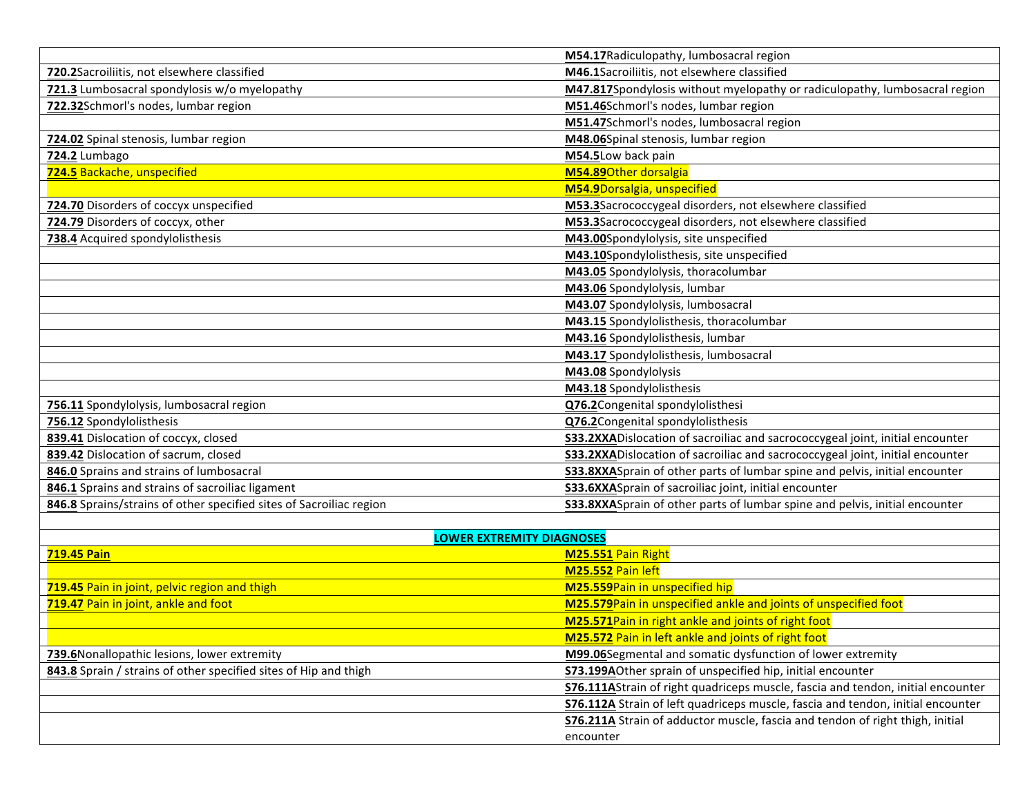|                                                                     | M54.17 Radiculopathy, lumbosacral region                                              |
|---------------------------------------------------------------------|---------------------------------------------------------------------------------------|
| 720.2Sacroiliitis, not elsewhere classified                         | M46.1Sacroiliitis, not elsewhere classified                                           |
| 721.3 Lumbosacral spondylosis w/o myelopathy                        | M47.817Spondylosis without myelopathy or radiculopathy, lumbosacral region            |
| 722.32Schmorl's nodes, lumbar region                                | M51.46Schmorl's nodes, lumbar region                                                  |
|                                                                     | M51.47Schmorl's nodes, lumbosacral region                                             |
| 724.02 Spinal stenosis, lumbar region                               | M48.06Spinal stenosis, lumbar region                                                  |
| 724.2 Lumbago                                                       | M54.5Low back pain                                                                    |
| 724.5 Backache, unspecified                                         | M54.89Other dorsalgia                                                                 |
|                                                                     | M54.9Dorsalgia, unspecified                                                           |
| 724.70 Disorders of coccyx unspecified                              | M53.3Sacrococcygeal disorders, not elsewhere classified                               |
| 724.79 Disorders of coccyx, other                                   | M53.3Sacrococcygeal disorders, not elsewhere classified                               |
| 738.4 Acquired spondylolisthesis                                    | M43.00Spondylolysis, site unspecified                                                 |
|                                                                     | M43.10Spondylolisthesis, site unspecified                                             |
|                                                                     | M43.05 Spondylolysis, thoracolumbar                                                   |
|                                                                     | M43.06 Spondylolysis, lumbar                                                          |
|                                                                     | M43.07 Spondylolysis, lumbosacral                                                     |
|                                                                     | M43.15 Spondylolisthesis, thoracolumbar                                               |
|                                                                     | M43.16 Spondylolisthesis, lumbar                                                      |
|                                                                     | M43.17 Spondylolisthesis, lumbosacral                                                 |
|                                                                     | M43.08 Spondylolysis                                                                  |
|                                                                     | M43.18 Spondylolisthesis                                                              |
| 756.11 Spondylolysis, lumbosacral region                            | Q76.2Congenital spondylolisthesi                                                      |
| 756.12 Spondylolisthesis                                            | Q76.2Congenital spondylolisthesis                                                     |
| 839.41 Dislocation of coccyx, closed                                | S33.2XXADislocation of sacroiliac and sacrococcygeal joint, initial encounter         |
| 839.42 Dislocation of sacrum, closed                                | <b>S33.2XXAD</b> islocation of sacroiliac and sacrococcygeal joint, initial encounter |
| 846.0 Sprains and strains of lumbosacral                            | S33.8XXASprain of other parts of lumbar spine and pelvis, initial encounter           |
| 846.1 Sprains and strains of sacroiliac ligament                    | <b>S33.6XXASprain of sacroiliac joint, initial encounter</b>                          |
| 846.8 Sprains/strains of other specified sites of Sacroiliac region | S33.8XXASprain of other parts of lumbar spine and pelvis, initial encounter           |
|                                                                     |                                                                                       |
| <b>LOWER EXTREMITY DIAGNOSES</b>                                    |                                                                                       |
| <b>719.45 Pain</b>                                                  | M25.551 Pain Right                                                                    |
|                                                                     | M25.552 Pain left                                                                     |
| 719.45 Pain in joint, pelvic region and thigh                       | M25.559Pain in unspecified hip                                                        |
| 719.47 Pain in joint, ankle and foot                                | M25.579Pain in unspecified ankle and joints of unspecified foot                       |
|                                                                     | M25.571Pain in right ankle and joints of right foot                                   |
|                                                                     | M25.572 Pain in left ankle and joints of right foot                                   |

**739.6**Nonallopathic lesions, lower extremity **XXXX** and Somatic dysfunction of lower extremity **M99.06**Segmental and somatic dysfunction of lower extremity 843.8 Sprain / strains of other specified sites of Hip and thigh **S73.199A**Other sprain of unspecified hip, initial encounter

encounter

**S76.111A**Strain of right quadriceps muscle, fascia and tendon, initial encounter **S76.112A** Strain of left quadriceps muscle, fascia and tendon, initial encounter **S76.211A** Strain of adductor muscle, fascia and tendon of right thigh, initial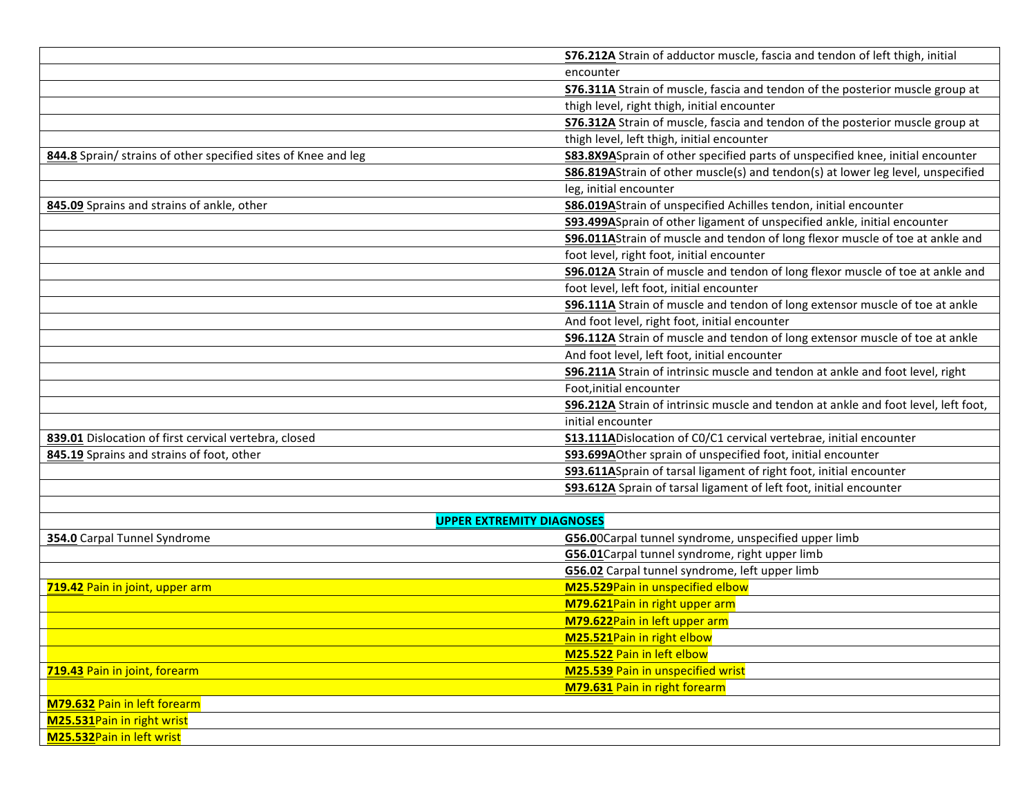|                                                                | S76.212A Strain of adductor muscle, fascia and tendon of left thigh, initial            |
|----------------------------------------------------------------|-----------------------------------------------------------------------------------------|
|                                                                | encounter                                                                               |
|                                                                | S76.311A Strain of muscle, fascia and tendon of the posterior muscle group at           |
|                                                                | thigh level, right thigh, initial encounter                                             |
|                                                                | S76.312A Strain of muscle, fascia and tendon of the posterior muscle group at           |
|                                                                | thigh level, left thigh, initial encounter                                              |
| 844.8 Sprain/ strains of other specified sites of Knee and leg | <b>S83.8X9A</b> Sprain of other specified parts of unspecified knee, initial encounter  |
|                                                                | <b>S86.819A</b> Strain of other muscle(s) and tendon(s) at lower leg level, unspecified |
|                                                                | leg, initial encounter                                                                  |
| 845.09 Sprains and strains of ankle, other                     | <b>S86.019A</b> Strain of unspecified Achilles tendon, initial encounter                |
|                                                                | S93.499ASprain of other ligament of unspecified ankle, initial encounter                |
|                                                                | S96.011AStrain of muscle and tendon of long flexor muscle of toe at ankle and           |
|                                                                | foot level, right foot, initial encounter                                               |
|                                                                | S96.012A Strain of muscle and tendon of long flexor muscle of toe at ankle and          |
|                                                                | foot level, left foot, initial encounter                                                |
|                                                                | <b>S96.111A</b> Strain of muscle and tendon of long extensor muscle of toe at ankle     |
|                                                                | And foot level, right foot, initial encounter                                           |
|                                                                | <b>S96.112A</b> Strain of muscle and tendon of long extensor muscle of toe at ankle     |
|                                                                | And foot level, left foot, initial encounter                                            |
|                                                                | S96.211A Strain of intrinsic muscle and tendon at ankle and foot level, right           |
|                                                                | Foot, initial encounter                                                                 |
|                                                                | S96.212A Strain of intrinsic muscle and tendon at ankle and foot level, left foot,      |
|                                                                | initial encounter                                                                       |
| 839.01 Dislocation of first cervical vertebra, closed          | <b>S13.111A</b> Dislocation of CO/C1 cervical vertebrae, initial encounter              |
| 845.19 Sprains and strains of foot, other                      | <b>S93.699A</b> Other sprain of unspecified foot, initial encounter                     |
|                                                                | <b>S93.611A</b> Sprain of tarsal ligament of right foot, initial encounter              |
|                                                                | <b>S93.612A</b> Sprain of tarsal ligament of left foot, initial encounter               |
|                                                                |                                                                                         |
|                                                                | <b>UPPER EXTREMITY DIAGNOSES</b>                                                        |
| 354.0 Carpal Tunnel Syndrome                                   | G56.00Carpal tunnel syndrome, unspecified upper limb                                    |
|                                                                | G56.01 Carpal tunnel syndrome, right upper limb                                         |
|                                                                | G56.02 Carpal tunnel syndrome, left upper limb                                          |
| 719.42 Pain in joint, upper arm                                | M25.529Pain in unspecified elbow                                                        |
|                                                                | M79.621Pain in right upper arm                                                          |
|                                                                | M79.622Pain in left upper arm                                                           |
|                                                                | M25.521Pain in right elbow                                                              |
|                                                                | M25.522 Pain in left elbow                                                              |
| 719.43 Pain in joint, forearm                                  | M25.539 Pain in unspecified wrist                                                       |
|                                                                | M79.631 Pain in right forearm                                                           |
| <b>M79.632 Pain in left forearm</b>                            |                                                                                         |
| M25.531Pain in right wrist                                     |                                                                                         |
| M25.532Pain in left wrist                                      |                                                                                         |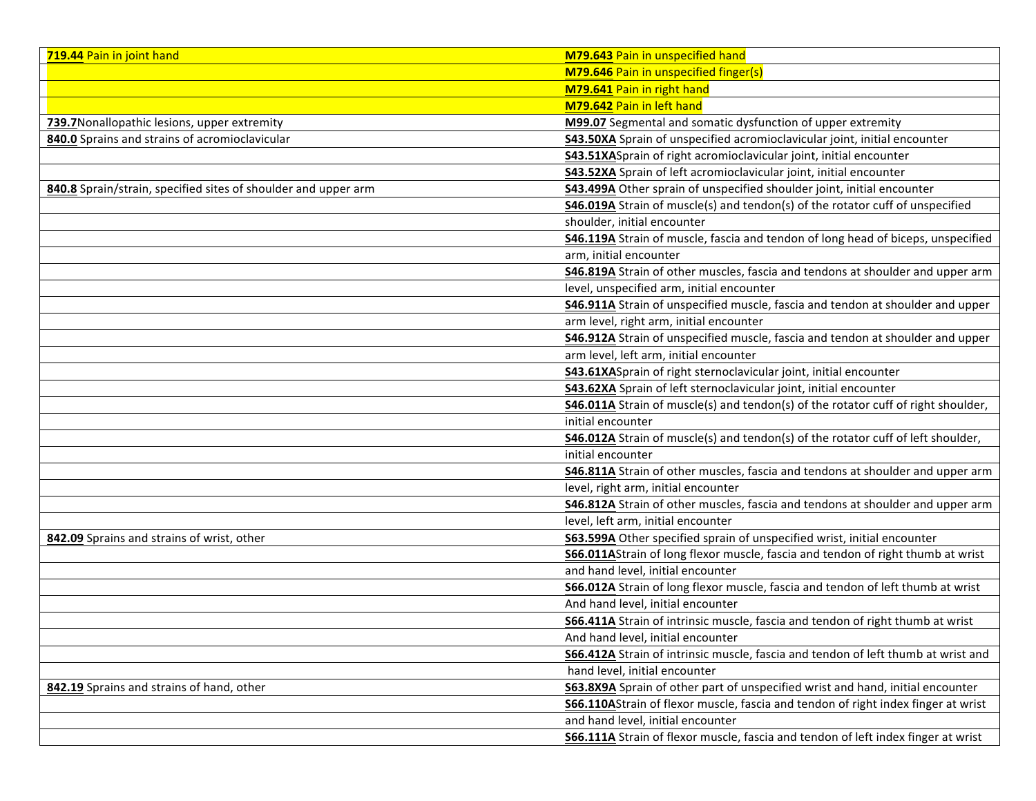| 719.44 Pain in joint hand                                      | M79.643 Pain in unspecified hand                                                         |
|----------------------------------------------------------------|------------------------------------------------------------------------------------------|
|                                                                | <b>M79.646 Pain in unspecified finger(s)</b>                                             |
|                                                                | M79.641 Pain in right hand                                                               |
|                                                                | M79.642 Pain in left hand                                                                |
| 739.7 Nonallopathic lesions, upper extremity                   | M99.07 Segmental and somatic dysfunction of upper extremity                              |
| 840.0 Sprains and strains of acromioclavicular                 | S43.50XA Sprain of unspecified acromioclavicular joint, initial encounter                |
|                                                                | <b>S43.51XA</b> Sprain of right acromioclavicular joint, initial encounter               |
|                                                                | S43.52XA Sprain of left acromioclavicular joint, initial encounter                       |
| 840.8 Sprain/strain, specified sites of shoulder and upper arm | <b>S43.499A</b> Other sprain of unspecified shoulder joint, initial encounter            |
|                                                                | <b>S46.019A</b> Strain of muscle(s) and tendon(s) of the rotator cuff of unspecified     |
|                                                                | shoulder, initial encounter                                                              |
|                                                                | <b>S46.119A</b> Strain of muscle, fascia and tendon of long head of biceps, unspecified  |
|                                                                | arm, initial encounter                                                                   |
|                                                                | S46.819A Strain of other muscles, fascia and tendons at shoulder and upper arm           |
|                                                                | level, unspecified arm, initial encounter                                                |
|                                                                | S46.911A Strain of unspecified muscle, fascia and tendon at shoulder and upper           |
|                                                                | arm level, right arm, initial encounter                                                  |
|                                                                | 546.912A Strain of unspecified muscle, fascia and tendon at shoulder and upper           |
|                                                                | arm level, left arm, initial encounter                                                   |
|                                                                | S43.61XASprain of right sternoclavicular joint, initial encounter                        |
|                                                                | S43.62XA Sprain of left sternoclavicular joint, initial encounter                        |
|                                                                | S46.011A Strain of muscle(s) and tendon(s) of the rotator cuff of right shoulder,        |
|                                                                | initial encounter                                                                        |
|                                                                | <b>S46.012A</b> Strain of muscle(s) and tendon(s) of the rotator cuff of left shoulder,  |
|                                                                | initial encounter                                                                        |
|                                                                | <b>S46.811A</b> Strain of other muscles, fascia and tendons at shoulder and upper arm    |
|                                                                | level, right arm, initial encounter                                                      |
|                                                                | S46.812A Strain of other muscles, fascia and tendons at shoulder and upper arm           |
|                                                                | level, left arm, initial encounter                                                       |
| 842.09 Sprains and strains of wrist, other                     | S63.599A Other specified sprain of unspecified wrist, initial encounter                  |
|                                                                | <b>S66.011A</b> Strain of long flexor muscle, fascia and tendon of right thumb at wrist  |
|                                                                | and hand level, initial encounter                                                        |
|                                                                | S66.012A Strain of long flexor muscle, fascia and tendon of left thumb at wrist          |
|                                                                | And hand level, initial encounter                                                        |
|                                                                | S66.411A Strain of intrinsic muscle, fascia and tendon of right thumb at wrist           |
|                                                                | And hand level, initial encounter                                                        |
|                                                                | <b>S66.412A</b> Strain of intrinsic muscle, fascia and tendon of left thumb at wrist and |
|                                                                | hand level, initial encounter                                                            |
| 842.19 Sprains and strains of hand, other                      | S63.8X9A Sprain of other part of unspecified wrist and hand, initial encounter           |
|                                                                | S66.110AStrain of flexor muscle, fascia and tendon of right index finger at wrist        |
|                                                                | and hand level, initial encounter                                                        |
|                                                                | <b>S66.111A</b> Strain of flexor muscle, fascia and tendon of left index finger at wrist |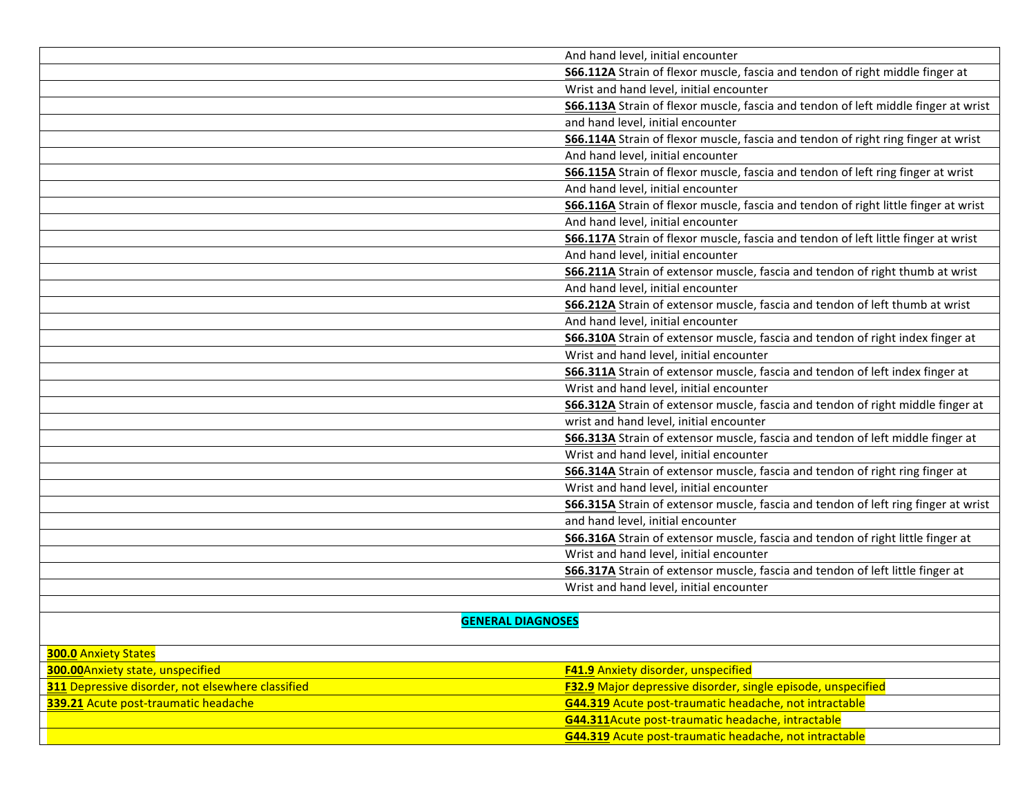|                          | And hand level, initial encounter                                                         |
|--------------------------|-------------------------------------------------------------------------------------------|
|                          | S66.112A Strain of flexor muscle, fascia and tendon of right middle finger at             |
|                          | Wrist and hand level, initial encounter                                                   |
|                          | S66.113A Strain of flexor muscle, fascia and tendon of left middle finger at wrist        |
|                          | and hand level, initial encounter                                                         |
|                          | <b>S66.114A</b> Strain of flexor muscle, fascia and tendon of right ring finger at wrist  |
|                          | And hand level, initial encounter                                                         |
|                          | <b>S66.115A</b> Strain of flexor muscle, fascia and tendon of left ring finger at wrist   |
|                          | And hand level, initial encounter                                                         |
|                          | S66.116A Strain of flexor muscle, fascia and tendon of right little finger at wrist       |
|                          | And hand level, initial encounter                                                         |
|                          | <b>S66.117A</b> Strain of flexor muscle, fascia and tendon of left little finger at wrist |
|                          | And hand level, initial encounter                                                         |
|                          | <b>S66.211A</b> Strain of extensor muscle, fascia and tendon of right thumb at wrist      |
|                          | And hand level, initial encounter                                                         |
|                          | S66.212A Strain of extensor muscle, fascia and tendon of left thumb at wrist              |
|                          | And hand level, initial encounter                                                         |
|                          | S66.310A Strain of extensor muscle, fascia and tendon of right index finger at            |
|                          | Wrist and hand level, initial encounter                                                   |
|                          | S66.311A Strain of extensor muscle, fascia and tendon of left index finger at             |
|                          | Wrist and hand level, initial encounter                                                   |
|                          | S66.312A Strain of extensor muscle, fascia and tendon of right middle finger at           |
|                          | wrist and hand level, initial encounter                                                   |
|                          | S66.313A Strain of extensor muscle, fascia and tendon of left middle finger at            |
|                          | Wrist and hand level, initial encounter                                                   |
|                          | S66.314A Strain of extensor muscle, fascia and tendon of right ring finger at             |
|                          | Wrist and hand level, initial encounter                                                   |
|                          | S66.315A Strain of extensor muscle, fascia and tendon of left ring finger at wrist        |
|                          | and hand level, initial encounter                                                         |
|                          | S66.316A Strain of extensor muscle, fascia and tendon of right little finger at           |
|                          | Wrist and hand level, initial encounter                                                   |
|                          | S66.317A Strain of extensor muscle, fascia and tendon of left little finger at            |
|                          | Wrist and hand level, initial encounter                                                   |
|                          |                                                                                           |
| <b>GENERAL DIAGNOSES</b> |                                                                                           |
|                          |                                                                                           |

| <b>300.0 Anxiety States</b>                              |                                                                     |
|----------------------------------------------------------|---------------------------------------------------------------------|
| <b>300.00</b> Anxiety state, unspecified                 | <b>F41.9</b> Anxiety disorder, unspecified                          |
| <b>311</b> Depressive disorder, not elsewhere classified | <b>F32.9</b> Major depressive disorder, single episode, unspecified |
| <b>339.21</b> Acute post-traumatic headache              | G44.319 Acute post-traumatic headache, not intractable              |
|                                                          | <b>G44.311</b> Acute post-traumatic headache, intractable           |
|                                                          | G44.319 Acute post-traumatic headache, not intractable              |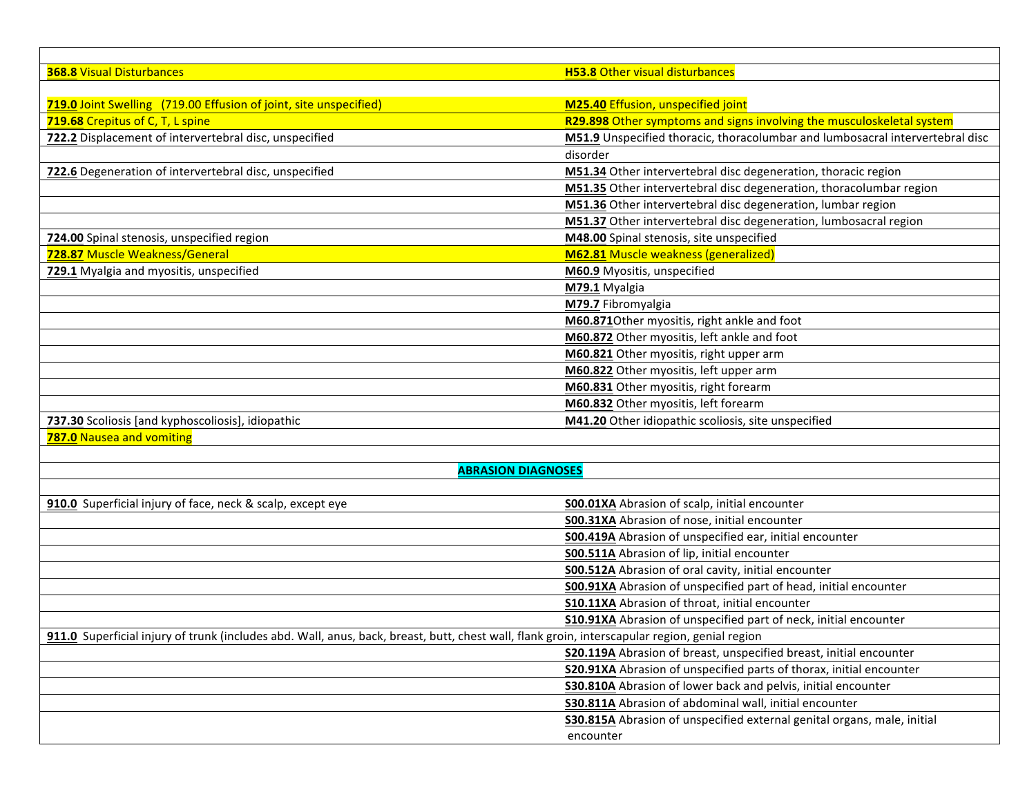| <b>368.8 Visual Disturbances</b>                                                                                                              | <b>H53.8 Other visual disturbances</b>                                        |
|-----------------------------------------------------------------------------------------------------------------------------------------------|-------------------------------------------------------------------------------|
|                                                                                                                                               |                                                                               |
| 719.0 Joint Swelling (719.00 Effusion of joint, site unspecified)                                                                             | M25.40 Effusion, unspecified joint                                            |
| 719.68 Crepitus of C, T, L spine                                                                                                              | R29.898 Other symptoms and signs involving the musculoskeletal system         |
| 722.2 Displacement of intervertebral disc, unspecified                                                                                        | M51.9 Unspecified thoracic, thoracolumbar and lumbosacral intervertebral disc |
|                                                                                                                                               | disorder                                                                      |
| 722.6 Degeneration of intervertebral disc, unspecified                                                                                        | M51.34 Other intervertebral disc degeneration, thoracic region                |
|                                                                                                                                               | M51.35 Other intervertebral disc degeneration, thoracolumbar region           |
|                                                                                                                                               | M51.36 Other intervertebral disc degeneration, lumbar region                  |
|                                                                                                                                               | M51.37 Other intervertebral disc degeneration, lumbosacral region             |
| 724.00 Spinal stenosis, unspecified region                                                                                                    | M48.00 Spinal stenosis, site unspecified                                      |
| 728.87 Muscle Weakness/General                                                                                                                | <b>M62.81</b> Muscle weakness (generalized)                                   |
| 729.1 Myalgia and myositis, unspecified                                                                                                       | M60.9 Myositis, unspecified                                                   |
|                                                                                                                                               | M79.1 Myalgia                                                                 |
|                                                                                                                                               | M79.7 Fibromyalgia                                                            |
|                                                                                                                                               | M60.871Other myositis, right ankle and foot                                   |
|                                                                                                                                               | M60.872 Other myositis, left ankle and foot                                   |
|                                                                                                                                               | M60.821 Other myositis, right upper arm                                       |
|                                                                                                                                               | M60.822 Other myositis, left upper arm                                        |
|                                                                                                                                               | M60.831 Other myositis, right forearm                                         |
|                                                                                                                                               | M60.832 Other myositis, left forearm                                          |
| 737.30 Scoliosis [and kyphoscoliosis], idiopathic                                                                                             | M41.20 Other idiopathic scoliosis, site unspecified                           |
| 787.0 Nausea and vomiting                                                                                                                     |                                                                               |
|                                                                                                                                               |                                                                               |
| <b>ABRASION DIAGNOSES</b>                                                                                                                     |                                                                               |
|                                                                                                                                               |                                                                               |
| 910.0 Superficial injury of face, neck & scalp, except eye                                                                                    | <b>S00.01XA Abrasion of scalp, initial encounter</b>                          |
|                                                                                                                                               | S00.31XA Abrasion of nose, initial encounter                                  |
|                                                                                                                                               | S00.419A Abrasion of unspecified ear, initial encounter                       |
|                                                                                                                                               | S00.511A Abrasion of lip, initial encounter                                   |
|                                                                                                                                               | <b>S00.512A</b> Abrasion of oral cavity, initial encounter                    |
|                                                                                                                                               | S00.91XA Abrasion of unspecified part of head, initial encounter              |
|                                                                                                                                               | S10.11XA Abrasion of throat, initial encounter                                |
|                                                                                                                                               | S10.91XA Abrasion of unspecified part of neck, initial encounter              |
| 911.0 Superficial injury of trunk (includes abd. Wall, anus, back, breast, butt, chest wall, flank groin, interscapular region, genial region |                                                                               |
|                                                                                                                                               | S20.119A Abrasion of breast, unspecified breast, initial encounter            |
|                                                                                                                                               | S20.91XA Abrasion of unspecified parts of thorax, initial encounter           |
|                                                                                                                                               | S30.810A Abrasion of lower back and pelvis, initial encounter                 |
|                                                                                                                                               | S30.811A Abrasion of abdominal wall, initial encounter                        |
|                                                                                                                                               | S30.815A Abrasion of unspecified external genital organs, male, initial       |
|                                                                                                                                               | encounter                                                                     |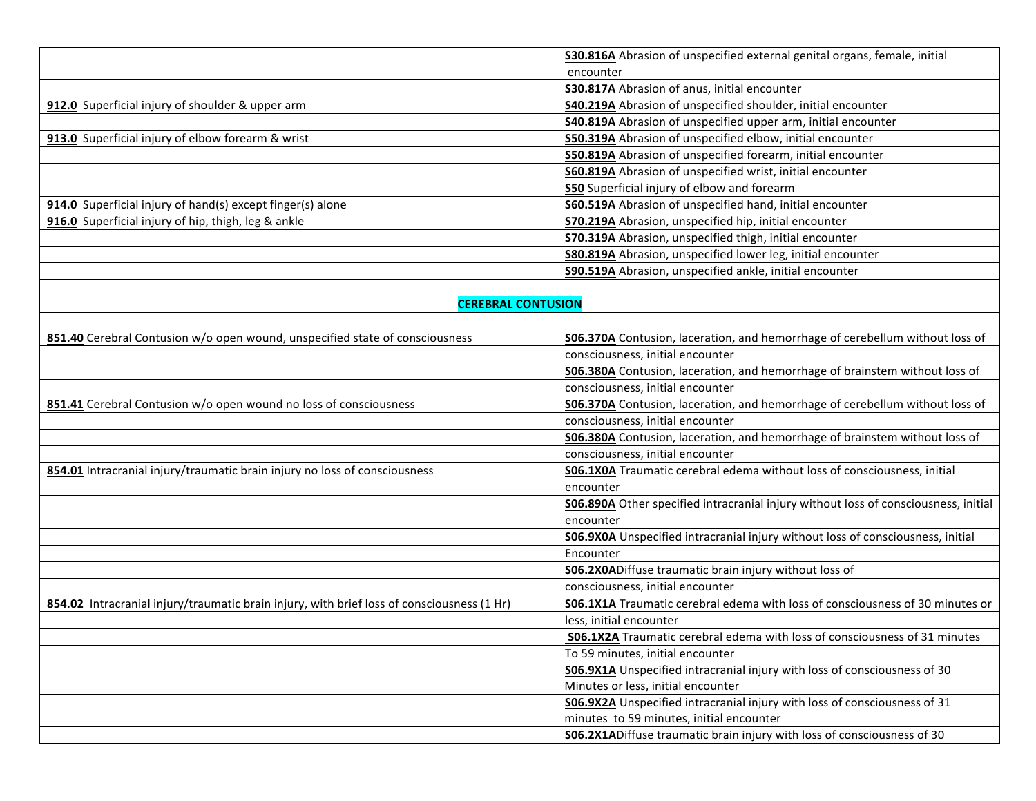|                                                                                            | S30.816A Abrasion of unspecified external genital organs, female, initial                  |
|--------------------------------------------------------------------------------------------|--------------------------------------------------------------------------------------------|
|                                                                                            | encounter                                                                                  |
|                                                                                            | <b>S30.817A</b> Abrasion of anus, initial encounter                                        |
| 912.0 Superficial injury of shoulder & upper arm                                           | <b>S40.219A</b> Abrasion of unspecified shoulder, initial encounter                        |
|                                                                                            | <b>S40.819A</b> Abrasion of unspecified upper arm, initial encounter                       |
| 913.0 Superficial injury of elbow forearm & wrist                                          | S50.319A Abrasion of unspecified elbow, initial encounter                                  |
|                                                                                            | <b>S50.819A</b> Abrasion of unspecified forearm, initial encounter                         |
|                                                                                            | <b>S60.819A</b> Abrasion of unspecified wrist, initial encounter                           |
|                                                                                            | <b>S50</b> Superficial injury of elbow and forearm                                         |
| 914.0 Superficial injury of hand(s) except finger(s) alone                                 | S60.519A Abrasion of unspecified hand, initial encounter                                   |
| 916.0 Superficial injury of hip, thigh, leg & ankle                                        | <b>S70.219A</b> Abrasion, unspecified hip, initial encounter                               |
|                                                                                            | <b>S70.319A</b> Abrasion, unspecified thigh, initial encounter                             |
|                                                                                            | <b>S80.819A</b> Abrasion, unspecified lower leg, initial encounter                         |
|                                                                                            | S90.519A Abrasion, unspecified ankle, initial encounter                                    |
|                                                                                            |                                                                                            |
| <b>CEREBRAL CONTUSION</b>                                                                  |                                                                                            |
|                                                                                            |                                                                                            |
| 851.40 Cerebral Contusion w/o open wound, unspecified state of consciousness               | <b>S06.370A</b> Contusion, laceration, and hemorrhage of cerebellum without loss of        |
|                                                                                            | consciousness, initial encounter                                                           |
|                                                                                            | <b>S06.380A</b> Contusion, laceration, and hemorrhage of brainstem without loss of         |
|                                                                                            | consciousness, initial encounter                                                           |
| 851.41 Cerebral Contusion w/o open wound no loss of consciousness                          | <b>S06.370A</b> Contusion, laceration, and hemorrhage of cerebellum without loss of        |
|                                                                                            | consciousness, initial encounter                                                           |
|                                                                                            | <b>S06.380A</b> Contusion, laceration, and hemorrhage of brainstem without loss of         |
|                                                                                            | consciousness, initial encounter                                                           |
| 854.01 Intracranial injury/traumatic brain injury no loss of consciousness                 | S06.1X0A Traumatic cerebral edema without loss of consciousness, initial                   |
|                                                                                            | encounter                                                                                  |
|                                                                                            | <b>S06.890A</b> Other specified intracranial injury without loss of consciousness, initial |
|                                                                                            | encounter                                                                                  |
|                                                                                            | <b>S06.9X0A</b> Unspecified intracranial injury without loss of consciousness, initial     |
|                                                                                            | Encounter                                                                                  |
|                                                                                            | S06.2X0ADiffuse traumatic brain injury without loss of                                     |
|                                                                                            | consciousness, initial encounter                                                           |
| 854.02 Intracranial injury/traumatic brain injury, with brief loss of consciousness (1 Hr) | S06.1X1A Traumatic cerebral edema with loss of consciousness of 30 minutes or              |
|                                                                                            | less, initial encounter                                                                    |
|                                                                                            | <b>S06.1X2A</b> Traumatic cerebral edema with loss of consciousness of 31 minutes          |
|                                                                                            | To 59 minutes, initial encounter                                                           |
|                                                                                            | S06.9X1A Unspecified intracranial injury with loss of consciousness of 30                  |
|                                                                                            | Minutes or less, initial encounter                                                         |
|                                                                                            | S06.9X2A Unspecified intracranial injury with loss of consciousness of 31                  |
|                                                                                            | minutes to 59 minutes, initial encounter                                                   |
|                                                                                            | <b>S06.2X1A</b> Diffuse traumatic brain injury with loss of consciousness of 30            |